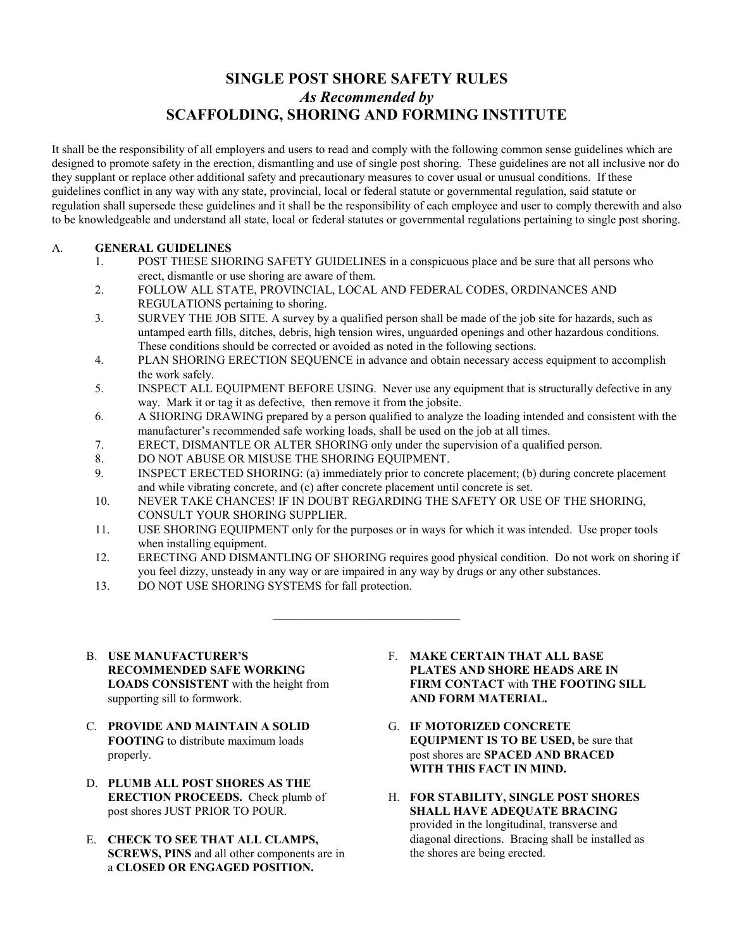## **SINGLE POST SHORE SAFETY RULES**  *As Recommended by*  **SCAFFOLDING, SHORING AND FORMING INSTITUTE**

It shall be the responsibility of all employers and users to read and comply with the following common sense guidelines which are designed to promote safety in the erection, dismantling and use of single post shoring. These guidelines are not all inclusive nor do they supplant or replace other additional safety and precautionary measures to cover usual or unusual conditions. If these guidelines conflict in any way with any state, provincial, local or federal statute or governmental regulation, said statute or regulation shall supersede these guidelines and it shall be the responsibility of each employee and user to comply therewith and also to be knowledgeable and understand all state, local or federal statutes or governmental regulations pertaining to single post shoring.

## A. **GENERAL GUIDELINES**

- 1. POST THESE SHORING SAFETY GUIDELINES in a conspicuous place and be sure that all persons who erect, dismantle or use shoring are aware of them.
- 2. FOLLOW ALL STATE, PROVINCIAL, LOCAL AND FEDERAL CODES, ORDINANCES AND REGULATIONS pertaining to shoring.
- 3. SURVEY THE JOB SITE. A survey by a qualified person shall be made of the job site for hazards, such as untamped earth fills, ditches, debris, high tension wires, unguarded openings and other hazardous conditions. These conditions should be corrected or avoided as noted in the following sections.
- 4. PLAN SHORING ERECTION SEQUENCE in advance and obtain necessary access equipment to accomplish the work safely.
- 5. INSPECT ALL EQUIPMENT BEFORE USING. Never use any equipment that is structurally defective in any way. Mark it or tag it as defective, then remove it from the jobsite.
- 6. A SHORING DRAWING prepared by a person qualified to analyze the loading intended and consistent with the manufacturer's recommended safe working loads, shall be used on the job at all times.
- 7. ERECT, DISMANTLE OR ALTER SHORING only under the supervision of a qualified person.
- 8. DO NOT ABUSE OR MISUSE THE SHORING EQUIPMENT.
- 9. INSPECT ERECTED SHORING: (a) immediately prior to concrete placement; (b) during concrete placement and while vibrating concrete, and (c) after concrete placement until concrete is set.
- 10. NEVER TAKE CHANCES! IF IN DOUBT REGARDING THE SAFETY OR USE OF THE SHORING, CONSULT YOUR SHORING SUPPLIER.
- 11. USE SHORING EQUIPMENT only for the purposes or in ways for which it was intended. Use proper tools when installing equipment.
- 12. ERECTING AND DISMANTLING OF SHORING requires good physical condition. Do not work on shoring if you feel dizzy, unsteady in any way or are impaired in any way by drugs or any other substances.
- 13. DO NOT USE SHORING SYSTEMS for fall protection.
- B. **USE MANUFACTURER'S RECOMMENDED SAFE WORKING LOADS CONSISTENT** with the height from supporting sill to formwork.
- C. **PROVIDE AND MAINTAIN A SOLID FOOTING** to distribute maximum loads properly.
- D. **PLUMB ALL POST SHORES AS THE ERECTION PROCEEDS.** Check plumb of post shores JUST PRIOR TO POUR.
- E. **CHECK TO SEE THAT ALL CLAMPS, SCREWS, PINS** and all other components are in a **CLOSED OR ENGAGED POSITION.**
- F. **MAKE CERTAIN THAT ALL BASE PLATES AND SHORE HEADS ARE IN FIRM CONTACT** with **THE FOOTING SILL AND FORM MATERIAL.**
- G. **IF MOTORIZED CONCRETE EQUIPMENT IS TO BE USED,** be sure that post shores are **SPACED AND BRACED WITH THIS FACT IN MIND.**
- H. **FOR STABILITY, SINGLE POST SHORES SHALL HAVE ADEQUATE BRACING**  provided in the longitudinal, transverse and diagonal directions. Bracing shall be installed as the shores are being erected.